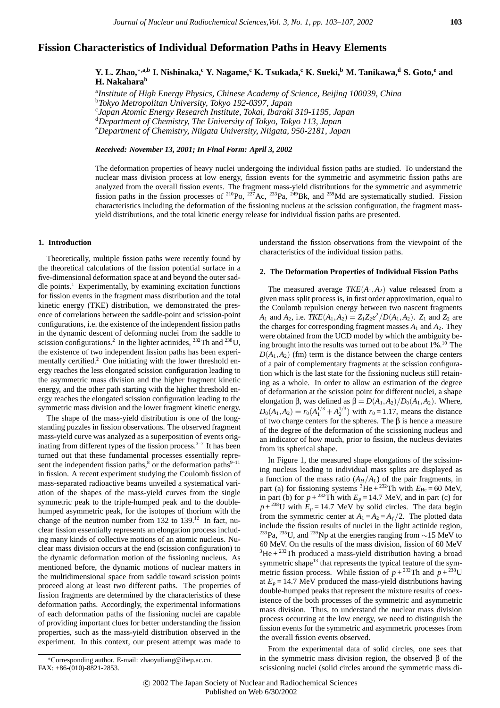# **Fission Characteristics of Individual Deformation Paths in Heavy Elements**

 $Y. L. Zhao, * ,a,b I. Nishinaka, <sup>c</sup> Y. Nagame, <sup>c</sup> K. Tsukada, <sup>c</sup> K. Sueki, <sup>b</sup> M. Tanikawa, <sup>d</sup> S. Goto, <sup>e</sup> and$ **H. Nakahara<sup>b</sup>**

a *Institute of High Energy Physics, Chinese Academy of Science, Beijing 100039, China*

b *Tokyo Metropolitan University, Tokyo 192-0397, Japan*

c *Japan Atomic Energy Research Institute, Tokai, Ibaraki 319-1195, Japan*

d *Department of Chemistry, The University of Tokyo, Tokyo 113, Japan*

e *Department of Chemistry, Niigata University, Niigata, 950-2181, Japan*

*Received: November 13, 2001; In Final Form: April 3, 2002*

The deformation properties of heavy nuclei undergoing the individual fission paths are studied. To understand the nuclear mass division process at low energy, fission events for the symmetric and asymmetric fission paths are analyzed from the overall fission events. The fragment mass-yield distributions for the symmetric and asymmetric fission paths in the fission processes of  $^{210}P_0$ ,  $^{227}Ac$ ,  $^{233}Pa$ ,  $^{249}Br$ , and  $^{259}Md$  are systematically studied. Fission characteristics including the deformation of the fissioning nucleus at the scission configuration, the fragment massyield distributions, and the total kinetic energy release for individual fission paths are presented.

## **1. Introduction**

Theoretically, multiple fission paths were recently found by the theoretical calculations of the fission potential surface in a five-dimensional deformation space at and beyond the outer saddle points. $<sup>1</sup>$  Experimentally, by examining excitation functions</sup> for fission events in the fragment mass distribution and the total kinetic energy (TKE) distribution, we demonstrated the presence of correlations between the saddle-point and scission-point configurations, i.e. the existence of the independent fission paths in the dynamic descent of deforming nuclei from the saddle to scission configurations.<sup>2</sup> In the lighter actinides, <sup>232</sup>Th and <sup>238</sup>U, the existence of two independent fission paths has been experimentally certified.<sup>2</sup> One initiating with the lower threshold energy reaches the less elongated scission configuration leading to the asymmetric mass division and the higher fragment kinetic energy, and the other path starting with the higher threshold energy reaches the elongated scission configuration leading to the symmetric mass division and the lower fragment kinetic energy.

The shape of the mass-yield distribution is one of the longstanding puzzles in fission observations. The observed fragment mass-yield curve was analyzed as a superposition of events originating from different types of the fission process. $3-7$  It has been turned out that these fundamental processes essentially represent the independent fission paths, $\delta$  or the deformation paths<sup>9–11</sup> in fission. A recent experiment studying the Coulomb fission of mass-separated radioactive beams unveiled a systematical variation of the shapes of the mass-yield curves from the single symmetric peak to the triple-humped peak and to the doublehumped asymmetric peak, for the isotopes of thorium with the change of the neutron number from  $132$  to  $139$ .<sup>12</sup> In fact, nuclear fission essentially represents an elongation process including many kinds of collective motions of an atomic nucleus. Nuclear mass division occurs at the end (scission configuration) to the dynamic deformation motion of the fissioning nucleus. As mentioned before, the dynamic motions of nuclear matters in the multidimensional space from saddle toward scission points proceed along at least two different paths. The properties of fission fragments are determined by the characteristics of these deformation paths. Accordingly, the experimental informations of each deformation paths of the fissioning nuclei are capable of providing important clues for better understanding the fission properties, such as the mass-yield distribution observed in the experiment. In this context, our present attempt was made to understand the fission observations from the viewpoint of the characteristics of the individual fission paths.

## **2. The Deformation Properties of Individual Fission Paths**

The measured average  $TKE(A_1, A_2)$  value released from a given mass split process is, in first order approximation, equal to the Coulomb repulsion energy between two nascent fragments *A*<sub>1</sub> and *A*<sub>2</sub>, i.e.  $TKE(A_1, A_2) = Z_1 Z_2 e^2 / D(A_1, A_2)$ . *Z*<sub>1</sub> and *Z*<sub>2</sub> are the charges for corresponding fragment masses  $A_1$  and  $A_2$ . They were obtained from the UCD model by which the ambiguity being brought into the results was turned out to be about  $1\%$ .<sup>10</sup> The  $D(A_1, A_2)$  (fm) term is the distance between the charge centers of a pair of complementary fragments at the scission configuration which is the last state for the fissioning nucleus still retaining as a whole. In order to allow an estimation of the degree of deformation at the scission point for different nuclei, a shape elongation β, was defined as  $β = D(A_1, A_2)/D_0(A_1, A_2)$ . Where,  $D_0(A_1, A_2) = r_0(A_1^{1/3} + A_2^{1/3})$  with  $r_0 = 1.17$ , means the distance of two charge centers for the spheres. The β is hence a measure of the degree of the deformation of the scissioning nucleus and an indicator of how much, prior to fission, the nucleus deviates from its spherical shape.

In Figure 1, the measured shape elongations of the scissioning nucleus leading to individual mass splits are displayed as a function of the mass ratio  $(A_H/A_L)$  of the pair fragments, in part (a) for fissioning systems  ${}^{3}$ He +  ${}^{232}$ Th with  $E_{He}$  = 60 MeV, in part (b) for  $p + {}^{232}Th$  with  $E_p = 14.7$  MeV, and in part (c) for  $p + {}^{238}U$  with  $E_p = 14.7$  MeV by solid circles. The data begin from the symmetric center at  $A_1 = A_2 = A_f/2$ . The plotted data include the fission results of nuclei in the light actinide region, <sup>233</sup>Pa, <sup>235</sup>U, and <sup>239</sup>Np at the energies ranging from ~15 MeV to 60 MeV. On the results of the mass division, fission of 60 MeV  $3$ He +  $232$ Th produced a mass-yield distribution having a broad symmetric shape<sup>13</sup> that represents the typical feature of the symmetric fission process. While fission of  $p + {}^{232}Th$  and  $p + {}^{238}U$ at  $E_p = 14.7$  MeV produced the mass-yield distributions having double-humped peaks that represent the mixture results of coexistence of the both processes of the symmetric and asymmetric mass division. Thus, to understand the nuclear mass division process occurring at the low energy, we need to distinguish the fission events for the symmetric and asymmetric processes from the overall fission events observed.

From the experimental data of solid circles, one sees that in the symmetric mass division region, the observed  $\beta$  of the scissioning nuclei (solid circles around the symmetric mass di-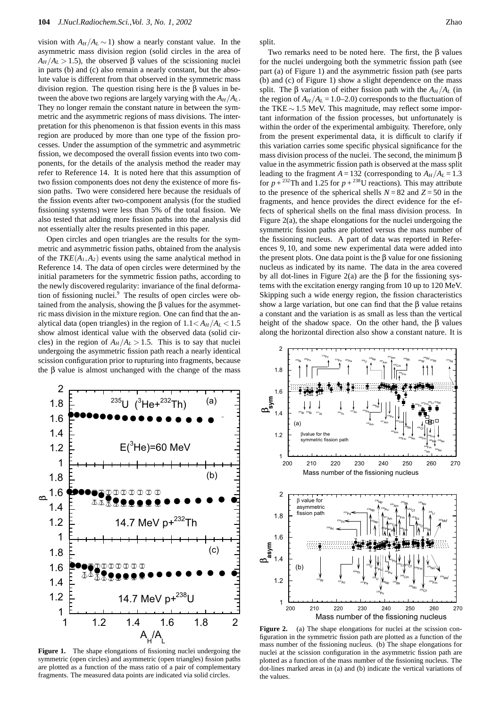vision with  $A_H / A_L \sim 1$ ) show a nearly constant value. In the asymmetric mass division region (solid circles in the area of  $A_H/A_L > 1.5$ , the observed β values of the scissioning nuclei in parts (b) and (c) also remain a nearly constant, but the absolute value is different from that observed in the symmetric mass division region. The question rising here is the β values in between the above two regions are largely varying with the  $A_H/A_L$ . They no longer remain the constant nature in between the symmetric and the asymmetric regions of mass divisions. The interpretation for this phenomenon is that fission events in this mass region are produced by more than one type of the fission processes. Under the assumption of the symmetric and asymmetric fission, we decomposed the overall fission events into two components, for the details of the analysis method the reader may refer to Reference 14. It is noted here that this assumption of two fission components does not deny the existence of more fission paths. Two were considered here because the residuals of the fission events after two-component analysis (for the studied fissioning systems) were less than 5% of the total fission. We also tested that adding more fission paths into the analysis did not essentially alter the results presented in this paper.

Open circles and open triangles are the results for the symmetric and asymmetric fission paths, obtained from the analysis of the  $TKE(A_1, A_2)$  events using the same analytical method in Reference 14. The data of open circles were determined by the initial parameters for the symmetric fission paths, according to the newly discovered regularity: invariance of the final deformation of fissioning nuclei.<sup>9</sup> The results of open circles were obtained from the analysis, showing the β values for the asymmetric mass division in the mixture region. One can find that the analytical data (open triangles) in the region of  $1.1 < A_H/A_L < 1.5$ show almost identical value with the observed data (solid circles) in the region of  $A_H/A_L > 1.5$ . This is to say that nuclei undergoing the asymmetric fission path reach a nearly identical scission configuration prior to rupturing into fragments, because the β value is almost unchanged with the change of the mass



**Figure 1.** The shape elongations of fissioning nuclei undergoing the symmetric (open circles) and asymmetric (open triangles) fission paths are plotted as a function of the mass ratio of a pair of complementary fragments. The measured data points are indicated via solid circles.

split.

Two remarks need to be noted here. The first, the β values for the nuclei undergoing both the symmetric fission path (see part (a) of Figure 1) and the asymmetric fission path (see parts (b) and (c) of Figure 1) show a slight dependence on the mass split. The  $\beta$  variation of either fission path with the  $A_H/A_L$  (in the region of  $A_H/A_L = 1.0-2.0$ ) corresponds to the fluctuation of the TKE ∼ 1.5 MeV. This magnitude, may reflect some important information of the fission processes, but unfortunately is within the order of the experimental ambiguity. Therefore, only from the present experimental data, it is difficult to clarify if this variation carries some specific physical significance for the mass division process of the nuclei. The second, the minimum β value in the asymmetric fission path is observed at the mass split leading to the fragment  $A = 132$  (corresponding to  $A_H / A_L = 1.3$ for  $p + {}^{232}Th$  and 1.25 for  $p + {}^{238}U$  reactions). This may attribute to the presence of the spherical shells  $N = 82$  and  $Z = 50$  in the fragments, and hence provides the direct evidence for the effects of spherical shells on the final mass division process. In Figure 2(a), the shape elongations for the nuclei undergoing the symmetric fission paths are plotted versus the mass number of the fissioning nucleus. A part of data was reported in References 9, 10, and some new experimental data were added into the present plots. One data point is the  $\beta$  value for one fissioning nucleus as indicated by its name. The data in the area covered by all dot-lines in Figure 2(a) are the β for the fissioning systems with the excitation energy ranging from 10 up to 120 MeV. Skipping such a wide energy region, the fission characteristics show a large variation, but one can find that the  $\beta$  value retains a constant and the variation is as small as less than the vertical height of the shadow space. On the other hand, the  $\beta$  values along the horizontal direction also show a constant nature. It is



Figure 2. (a) The shape elongations for nuclei at the scission configuration in the symmetric fission path are plotted as a function of the mass number of the fissioning nucleus. (b) The shape elongations for nuclei at the scission configuration in the asymmetric fission path are plotted as a function of the mass number of the fissioning nucleus. The dot-lines marked areas in (a) and (b) indicate the vertical variations of the values.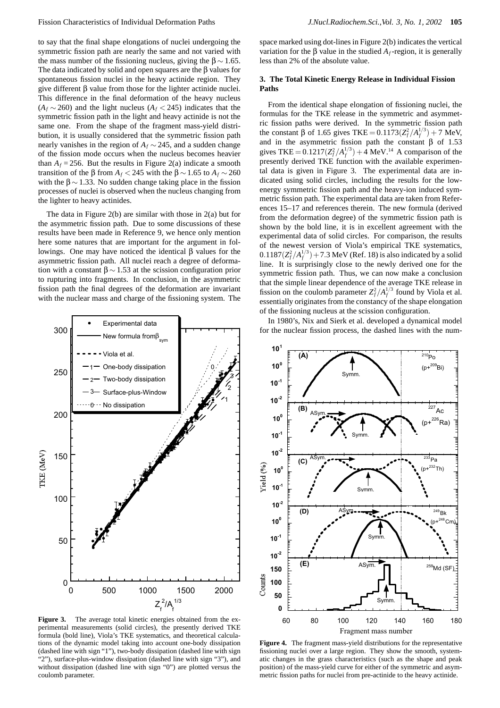to say that the final shape elongations of nuclei undergoing the symmetric fission path are nearly the same and not varied with the mass number of the fissioning nucleus, giving the  $\beta \sim 1.65$ . The data indicated by solid and open squares are the β values for spontaneous fission nuclei in the heavy actinide region. They give different β value from those for the lighter actinide nuclei. This difference in the final deformation of the heavy nucleus  $(A_f \sim 260)$  and the light nucleus  $(A_f \lt 245)$  indicates that the symmetric fission path in the light and heavy actinide is not the same one. From the shape of the fragment mass-yield distribution, it is usually considered that the symmetric fission path nearly vanishes in the region of *Af* ∼ 245, and a sudden change of the fission mode occurs when the nucleus becomes heavier than  $A_f = 256$ . But the results in Figure 2(a) indicate a smooth transition of the β from  $A_f < 245$  with the  $β \sim 1.65$  to  $A_f \sim 260$ with the  $\beta \sim 1.33$ . No sudden change taking place in the fission processes of nuclei is observed when the nucleus changing from the lighter to heavy actinides.

The data in Figure 2(b) are similar with those in 2(a) but for the asymmetric fission path. Due to some discussions of these results have been made in Reference 9, we hence only mention here some natures that are important for the argument in followings. One may have noticed the identical β values for the asymmetric fission path. All nuclei reach a degree of deformation with a constant  $\beta \sim 1.53$  at the scission configuration prior to rupturing into fragments. In conclusion, in the asymmetric fission path the final degrees of the deformation are invariant with the nuclear mass and charge of the fissioning system. The



**Figure 3.** The average total kinetic energies obtained from the experimental measurements (solid circles), the presently derived TKE formula (bold line), Viola's TKE systematics, and theoretical calculations of the dynamic model taking into account one-body dissipation (dashed line with sign "1"), two-body dissipation (dashed line with sign "2"), surface-plus-window dissipation (dashed line with sign "3"), and without dissipation (dashed line with sign "0") are plotted versus the coulomb parameter.

space marked using dot-lines in Figure 2(b) indicates the vertical variation for the  $\beta$  value in the studied  $A_f$ -region, it is generally less than 2% of the absolute value.

## **3. The Total Kinetic Energy Release in Individual Fission Paths**

From the identical shape elongation of fissioning nuclei, the formulas for the TKE release in the symmetric and asymmetric fission paths were derived. In the symmetric fission path the constant β of 1.65 gives TKE =  $0.1173(Z_f^2/A_f^{1/3}) + 7$  MeV, and in the asymmetric fission path the constant  $\beta$  of 1.53 gives TKE =  $0.1217(Z_f^2/A_f^{1/3}) + 4$  MeV.<sup>14</sup> A comparison of the presently derived TKE function with the available experimental data is given in Figure 3. The experimental data are indicated using solid circles, including the results for the lowenergy symmetric fission path and the heavy-ion induced symmetric fission path. The experimental data are taken from References 15–17 and references therein. The new formula (derived from the deformation degree) of the symmetric fission path is shown by the bold line, it is in excellent agreement with the experimental data of solid circles. For comparison, the results of the newest version of Viola's empirical TKE systematics,  $0.1187(Z_f^2/A_f^{1/3}) + 7.3$  MeV (Ref. 18) is also indicated by a solid line. It is surprisingly close to the newly derived one for the symmetric fission path. Thus, we can now make a conclusion that the simple linear dependence of the average TKE release in fission on the coulomb parameter  $Z_f^2 / A_f^{1/3}$  found by Viola et al. essentially originates from the constancy of the shape elongation of the fissioning nucleus at the scission configuration.

In 1980's, Nix and Sierk et al. developed a dynamical model for the nuclear fission process, the dashed lines with the num-



fissioning nuclei over a large region. They show the smooth, systematic changes in the grass characteristics (such as the shape and peak position) of the mass-yield curve for either of the symmetric and asymmetric fission paths for nuclei from pre-actinide to the heavy actinide.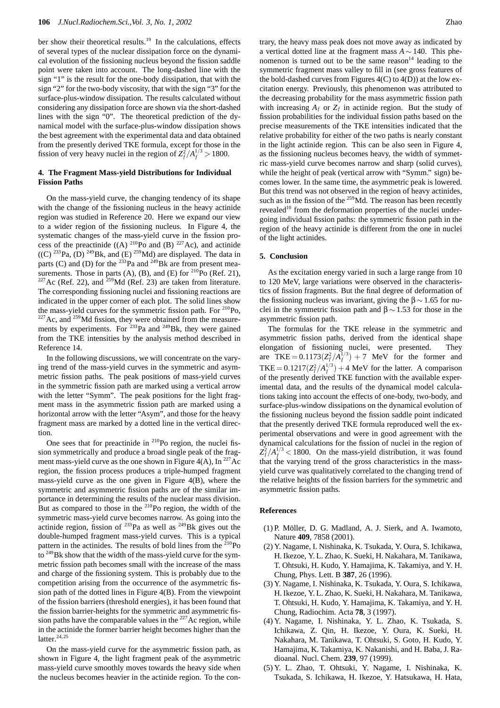ber show their theoretical results.<sup>19</sup> In the calculations, effects of several types of the nuclear dissipation force on the dynamical evolution of the fissioning nucleus beyond the fission saddle point were taken into account. The long-dashed line with the sign "1" is the result for the one-body dissipation, that with the sign "2" for the two-body viscosity, that with the sign "3" for the surface-plus-window dissipation. The results calculated without considering any dissipation force are shown via the short-dashed lines with the sign "0". The theoretical prediction of the dynamical model with the surface-plus-window dissipation shows the best agreement with the experimental data and data obtained from the presently derived TKE formula, except for those in the fission of very heavy nuclei in the region of  $Z_f^2/A_f^{1/3} > 1800$ .

## **4. The Fragment Mass-yield Distributions for Individual Fission Paths**

On the mass-yield curve, the changing tendency of its shape with the change of the fissioning nucleus in the heavy actinide region was studied in Reference 20. Here we expand our view to a wider region of the fissioning nucleus. In Figure 4, the systematic changes of the mass-yield curve in the fission process of the preactinide  $((A)$  <sup>210</sup>Po and (B) <sup>227</sup>Ac), and actinide  $((C)$  <sup>233</sup>Pa, (D) <sup>249</sup>Bk, and (E) <sup>259</sup>Md) are displayed. The data in parts (C) and (D) for the  $^{233}$ Pa and  $^{249}$ Bk are from present measurements. Those in parts (A), (B), and (E) for  $^{210}P_0$  (Ref. 21), <sup>227</sup>Ac (Ref. 22), and <sup>259</sup>Md (Ref. 23) are taken from literature. The corresponding fissioning nuclei and fissioning reactions are indicated in the upper corner of each plot. The solid lines show the mass-yield curves for the symmetric fission path. For  $^{210}P_0$ ,  $227$  Ac, and  $259$  Md fission, they were obtained from the measurements by experiments. For <sup>233</sup>Pa and <sup>249</sup>Bk, they were gained from the TKE intensities by the analysis method described in Reference 14.

In the following discussions, we will concentrate on the varying trend of the mass-yield curves in the symmetric and asymmetric fission paths. The peak positions of mass-yield curves in the symmetric fission path are marked using a vertical arrow with the letter "Symm". The peak positions for the light fragment mass in the asymmetric fission path are marked using a horizontal arrow with the letter "Asym", and those for the heavy fragment mass are marked by a dotted line in the vertical direction.

One sees that for preactinide in <sup>210</sup>Po region, the nuclei fission symmetrically and produce a broad single peak of the fragment mass-yield curve as the one shown in Figure 4(A), In  $^{227}$ Ac region, the fission process produces a triple-humped fragment mass-yield curve as the one given in Figure 4(B), where the symmetric and asymmetric fission paths are of the similar importance in determining the results of the nuclear mass division. But as compared to those in the <sup>210</sup>Po region, the width of the symmetric mass-yield curve becomes narrow. As going into the actinide region, fission of  $^{233}$ Pa as well as  $^{249}$ Bk gives out the double-humped fragment mass-yield curves. This is a typical pattern in the actinides. The results of bold lines from the  $210P_0$ to 249Bk show that the width of the mass-yield curve for the symmetric fission path becomes small with the increase of the mass and charge of the fissioning system. This is probably due to the competition arising from the occurrence of the asymmetric fission path of the dotted lines in Figure 4(B). From the viewpoint of the fission barriers (threshold energies), it has been found that the fission barrier-heights for the symmetric and asymmetric fission paths have the comparable values in the  $227$  Ac region, while in the actinide the former barrier height becomes higher than the latter.<sup>24,25</sup>

On the mass-yield curve for the asymmetric fission path, as shown in Figure 4, the light fragment peak of the asymmetric mass-yield curve smoothly moves towards the heavy side when the nucleus becomes heavier in the actinide region. To the con-

trary, the heavy mass peak does not move away as indicated by a vertical dotted line at the fragment mass *A* ∼ 140. This phenomenon is turned out to be the same reason $14$  leading to the symmetric fragment mass valley to fill in (see gross features of the bold-dashed curves from Figures 4(C) to 4(D)) at the low excitation energy. Previously, this phenomenon was attributed to the decreasing probability for the mass asymmetric fission path with increasing  $A_f$  or  $Z_f$  in actinide region. But the study of fission probabilities for the individual fission paths based on the precise measurements of the TKE intensities indicated that the relative probability for either of the two paths is nearly constant in the light actinide region. This can be also seen in Figure 4, as the fissioning nucleus becomes heavy, the width of symmetric mass-yield curve becomes narrow and sharp (solid curves), while the height of peak (vertical arrow with "Symm." sign) becomes lower. In the same time, the asymmetric peak is lowered. But this trend was not observed in the region of heavy actinides, such as in the fission of the  $259$  Md. The reason has been recently revealed<sup>10</sup> from the deformation properties of the nuclei undergoing individual fission paths: the symmetric fission path in the region of the heavy actinide is different from the one in nuclei of the light actinides.

#### **5. Conclusion**

As the excitation energy varied in such a large range from 10 to 120 MeV, large variations were observed in the characteristics of fission fragments. But the final degree of deformation of the fissioning nucleus was invariant, giving the  $\beta \sim 1.65$  for nuclei in the symmetric fission path and  $\beta \sim 1.53$  for those in the asymmetric fission path.

The formulas for the TKE release in the symmetric and asymmetric fission paths, derived from the identical shape elongation of fissioning nuclei, were presented. They are TKE =  $0.1173(Z_f^2/A_f^{1/3}) + 7$  MeV for the former and TKE =  $0.1217(Z_f^2/A_f^{1/3}) + 4$  MeV for the latter. A comparison of the presently derived TKE function with the available experimental data, and the results of the dynamical model calculations taking into account the effects of one-body, two-body, and surface-plus-window dissipations on the dynamical evolution of the fissioning nucleus beyond the fission saddle point indicated that the presently derived TKE formula reproduced well the experimental observations and were in good agreement with the dynamical calculations for the fission of nuclei in the region of  $Z_f^2/A_f^{1/3}$  < 1800. On the mass-yield distribution, it was found that the varying trend of the gross characteristics in the massyield curve was qualitatively correlated to the changing trend of the relative heights of the fission barriers for the symmetric and asymmetric fission paths.

### **References**

- (1) P. Möller, D. G. Madland, A. J. Sierk, and A. Iwamoto, Nature **409**, 7858 (2001).
- (2) Y. Nagame, I. Nishinaka, K. Tsukada, Y. Oura, S. Ichikawa, H. Ikezoe, Y. L. Zhao, K. Sueki, H. Nakahara, M. Tanikawa, T. Ohtsuki, H. Kudo, Y. Hamajima, K. Takamiya, and Y. H. Chung, Phys. Lett. B **387**, 26 (1996).
- (3) Y. Nagame, I. Nishinaka, K. Tsukada, Y. Oura, S. Ichikawa, H. Ikezoe, Y. L. Zhao, K. Sueki, H. Nakahara, M. Tanikawa, T. Ohtsuki, H. Kudo, Y. Hamajima, K. Takamiya, and Y. H. Chung, Radiochim. Acta **78**, 3 (1997).
- (4) Y. Nagame, I. Nishinaka, Y. L. Zhao, K. Tsukada, S. Ichikawa, Z. Qin, H. Ikezoe, Y. Oura, K. Sueki, H. Nakahara, M. Tanikawa, T. Ohtsuki, S. Goto, H. Kudo, Y. Hamajima, K. Takamiya, K. Nakanishi, and H. Baba, J. Radioanal. Nucl. Chem. **239**, 97 (1999).
- (5) Y. L. Zhao, T. Ohtsuki, Y. Nagame, I. Nishinaka, K. Tsukada, S. Ichikawa, H. Ikezoe, Y. Hatsukawa, H. Hata,